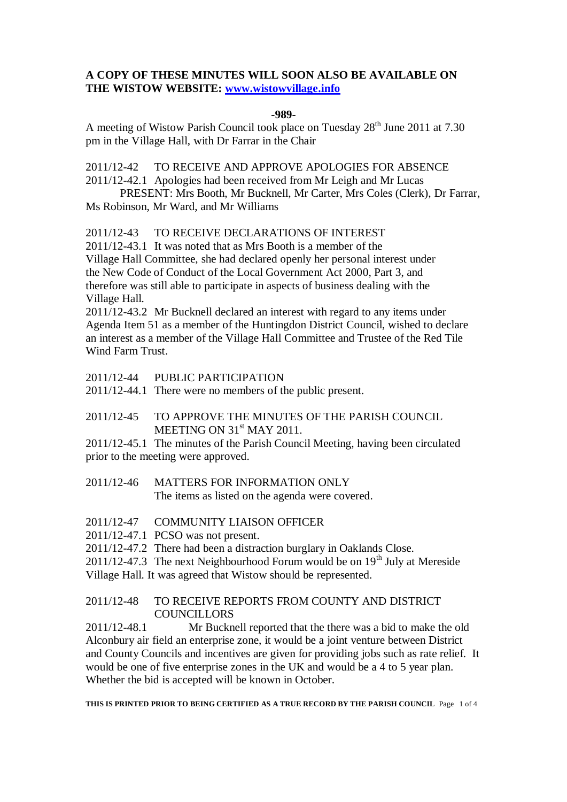## **A COPY OF THESE MINUTES WILL SOON ALSO BE AVAILABLE ON THE WISTOW WEBSITE: [www.wistowvillage.info](http://www.wistowvillage.info/)**

#### **-989-**

A meeting of Wistow Parish Council took place on Tuesday 28<sup>th</sup> June 2011 at 7.30 pm in the Village Hall, with Dr Farrar in the Chair

2011/12-42 TO RECEIVE AND APPROVE APOLOGIES FOR ABSENCE

2011/12-42.1 Apologies had been received from Mr Leigh and Mr Lucas

PRESENT: Mrs Booth, Mr Bucknell, Mr Carter, Mrs Coles (Clerk), Dr Farrar, Ms Robinson, Mr Ward, and Mr Williams

## 2011/12-43 TO RECEIVE DECLARATIONS OF INTEREST

2011/12-43.1 It was noted that as Mrs Booth is a member of the Village Hall Committee, she had declared openly her personal interest under the New Code of Conduct of the Local Government Act 2000, Part 3, and therefore was still able to participate in aspects of business dealing with the Village Hall.

2011/12-43.2 Mr Bucknell declared an interest with regard to any items under Agenda Item 51 as a member of the Huntingdon District Council, wished to declare an interest as a member of the Village Hall Committee and Trustee of the Red Tile Wind Farm Trust.

2011/12-44 PUBLIC PARTICIPATION

2011/12-44.1 There were no members of the public present.

# 2011/12-45 TO APPROVE THE MINUTES OF THE PARISH COUNCIL MEETING ON 31<sup>st</sup> MAY 2011.

2011/12-45.1 The minutes of the Parish Council Meeting, having been circulated prior to the meeting were approved.

- 2011/12-46 MATTERS FOR INFORMATION ONLY The items as listed on the agenda were covered.
- 2011/12-47 COMMUNITY LIAISON OFFICER
- 2011/12-47.1 PCSO was not present.
- 2011/12-47.2 There had been a distraction burglary in Oaklands Close.

 $2011/12-47.3$  The next Neighbourhood Forum would be on  $19<sup>th</sup>$  July at Mereside Village Hall. It was agreed that Wistow should be represented.

## 2011/12-48 TO RECEIVE REPORTS FROM COUNTY AND DISTRICT **COUNCILLORS**

2011/12-48.1 Mr Bucknell reported that the there was a bid to make the old Alconbury air field an enterprise zone, it would be a joint venture between District and County Councils and incentives are given for providing jobs such as rate relief. It would be one of five enterprise zones in the UK and would be a 4 to 5 year plan. Whether the bid is accepted will be known in October.

**THIS IS PRINTED PRIOR TO BEING CERTIFIED AS A TRUE RECORD BY THE PARISH COUNCIL** Page 1 of 4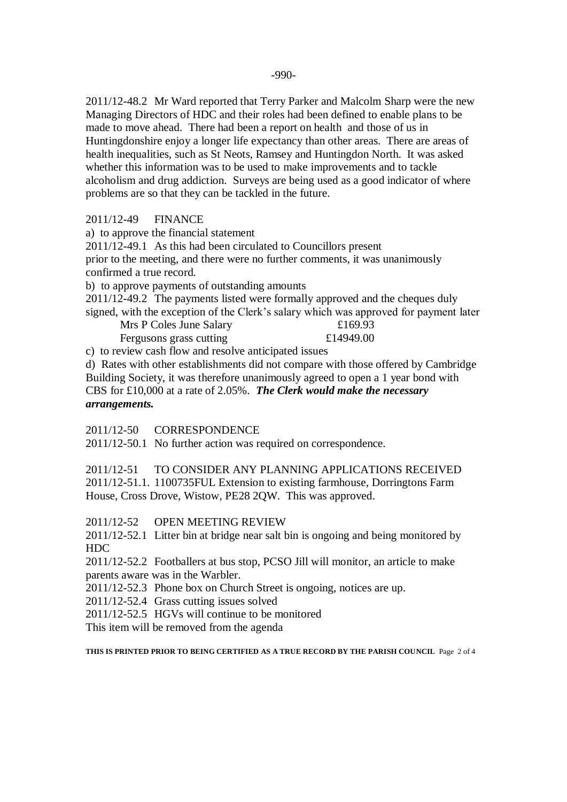2011/12-48.2 Mr Ward reported that Terry Parker and Malcolm Sharp were the new Managing Directors of HDC and their roles had been defined to enable plans to be made to move ahead. There had been a report on health and those of us in Huntingdonshire enjoy a longer life expectancy than other areas. There are areas of health inequalities, such as St Neots, Ramsey and Huntingdon North. It was asked whether this information was to be used to make improvements and to tackle alcoholism and drug addiction. Surveys are being used as a good indicator of where problems are so that they can be tackled in the future.

#### 2011/12-49 FINANCE

a) to approve the financial statement

2011/12-49.1 As this had been circulated to Councillors present prior to the meeting, and there were no further comments, it was unanimously confirmed a true record.

b) to approve payments of outstanding amounts

2011/12-49.2 The payments listed were formally approved and the cheques duly signed, with the exception of the Clerk's salary which was approved for payment later

Mrs P Coles June Salary £169.93 Fergusons grass cutting  $£14949.00$ 

c) to review cash flow and resolve anticipated issues

d) Rates with other establishments did not compare with those offered by Cambridge Building Society, it was therefore unanimously agreed to open a 1 year bond with CBS for £10,000 at a rate of 2.05%. *The Clerk would make the necessary arrangements.*

2011/12-50 CORRESPONDENCE

2011/12-50.1 No further action was required on correspondence.

2011/12-51 TO CONSIDER ANY PLANNING APPLICATIONS RECEIVED 2011/12-51.1. 1100735FUL Extension to existing farmhouse, Dorringtons Farm House, Cross Drove, Wistow, PE28 2QW. This was approved.

2011/12-52 OPEN MEETING REVIEW

2011/12-52.1 Litter bin at bridge near salt bin is ongoing and being monitored by HDC

2011/12-52.2 Footballers at bus stop, PCSO Jill will monitor, an article to make parents aware was in the Warbler.

2011/12-52.3 Phone box on Church Street is ongoing, notices are up.

2011/12-52.4 Grass cutting issues solved

2011/12-52.5 HGVs will continue to be monitored

This item will be removed from the agenda

**THIS IS PRINTED PRIOR TO BEING CERTIFIED AS A TRUE RECORD BY THE PARISH COUNCIL** Page 2 of 4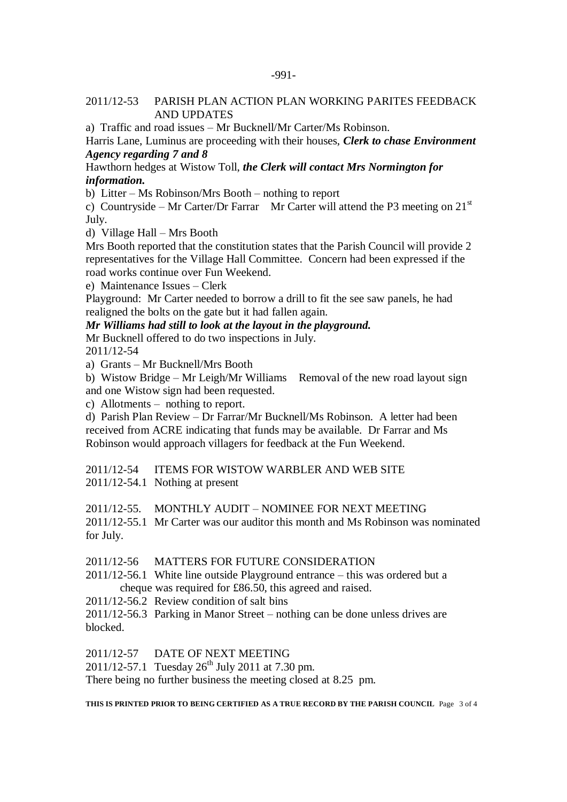## 2011/12-53 PARISH PLAN ACTION PLAN WORKING PARITES FEEDBACK AND UPDATES

a) Traffic and road issues – Mr Bucknell/Mr Carter/Ms Robinson.

Harris Lane, Luminus are proceeding with their houses, *Clerk to chase Environment Agency regarding 7 and 8*

Hawthorn hedges at Wistow Toll, *the Clerk will contact Mrs Normington for information.*

b) Litter – Ms Robinson/Mrs Booth – nothing to report

c) Countryside – Mr Carter/Dr Farrar Mr Carter will attend the P3 meeting on  $21<sup>st</sup>$ July.

d) Village Hall – Mrs Booth

Mrs Booth reported that the constitution states that the Parish Council will provide 2 representatives for the Village Hall Committee. Concern had been expressed if the road works continue over Fun Weekend.

e) Maintenance Issues – Clerk

Playground: Mr Carter needed to borrow a drill to fit the see saw panels, he had realigned the bolts on the gate but it had fallen again.

#### *Mr Williams had still to look at the layout in the playground.*

Mr Bucknell offered to do two inspections in July. 2011/12-54

a) Grants – Mr Bucknell/Mrs Booth

b) Wistow Bridge – Mr Leigh/Mr Williams Removal of the new road layout sign and one Wistow sign had been requested.

c) Allotments – nothing to report.

d) Parish Plan Review – Dr Farrar/Mr Bucknell/Ms Robinson. A letter had been received from ACRE indicating that funds may be available. Dr Farrar and Ms Robinson would approach villagers for feedback at the Fun Weekend.

2011/12-54 ITEMS FOR WISTOW WARBLER AND WEB SITE

2011/12-54.1 Nothing at present

2011/12-55. MONTHLY AUDIT – NOMINEE FOR NEXT MEETING

2011/12-55.1 Mr Carter was our auditor this month and Ms Robinson was nominated for July.

2011/12-56 MATTERS FOR FUTURE CONSIDERATION

2011/12-56.1 White line outside Playground entrance – this was ordered but a cheque was required for £86.50, this agreed and raised.

2011/12-56.2 Review condition of salt bins

2011/12-56.3 Parking in Manor Street – nothing can be done unless drives are blocked.

2011/12-57 DATE OF NEXT MEETING

2011/12-57.1 Tuesday  $26^{th}$  July 2011 at 7.30 pm.

There being no further business the meeting closed at 8.25 pm.

**THIS IS PRINTED PRIOR TO BEING CERTIFIED AS A TRUE RECORD BY THE PARISH COUNCIL** Page 3 of 4